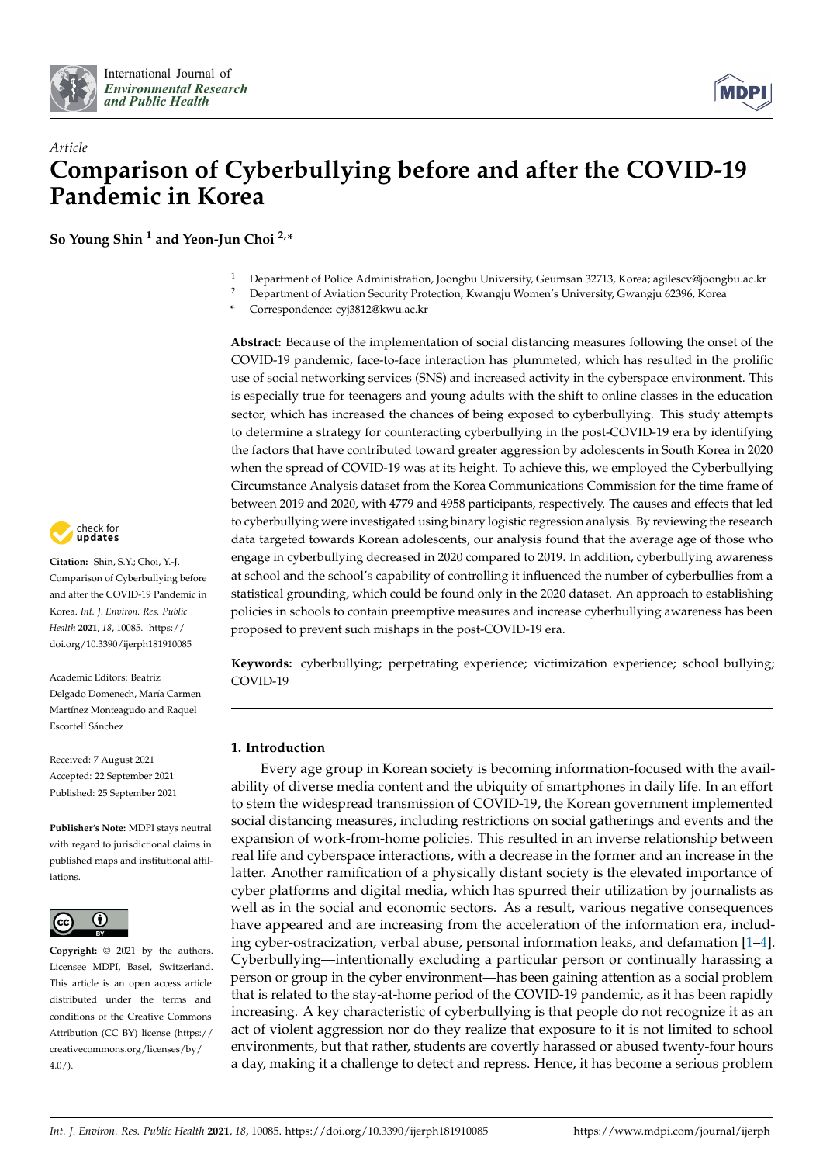



# *Article* **Comparison of Cyberbullying before and after the COVID-19 Pandemic in Korea**

**So Young Shin <sup>1</sup> and Yeon-Jun Choi 2,\***

- <sup>1</sup> Department of Police Administration, Joongbu University, Geumsan 32713, Korea; agilescv@joongbu.ac.kr
- <sup>2</sup> Department of Aviation Security Protection, Kwangju Women's University, Gwangju 62396, Korea
- **\*** Correspondence: cyj3812@kwu.ac.kr

**Abstract:** Because of the implementation of social distancing measures following the onset of the COVID-19 pandemic, face-to-face interaction has plummeted, which has resulted in the prolific use of social networking services (SNS) and increased activity in the cyberspace environment. This is especially true for teenagers and young adults with the shift to online classes in the education sector, which has increased the chances of being exposed to cyberbullying. This study attempts to determine a strategy for counteracting cyberbullying in the post-COVID-19 era by identifying the factors that have contributed toward greater aggression by adolescents in South Korea in 2020 when the spread of COVID-19 was at its height. To achieve this, we employed the Cyberbullying Circumstance Analysis dataset from the Korea Communications Commission for the time frame of between 2019 and 2020, with 4779 and 4958 participants, respectively. The causes and effects that led to cyberbullying were investigated using binary logistic regression analysis. By reviewing the research data targeted towards Korean adolescents, our analysis found that the average age of those who engage in cyberbullying decreased in 2020 compared to 2019. In addition, cyberbullying awareness at school and the school's capability of controlling it influenced the number of cyberbullies from a statistical grounding, which could be found only in the 2020 dataset. An approach to establishing policies in schools to contain preemptive measures and increase cyberbullying awareness has been proposed to prevent such mishaps in the post-COVID-19 era.

**Keywords:** cyberbullying; perpetrating experience; victimization experience; school bullying; COVID-19

## **1. Introduction**

Every age group in Korean society is becoming information-focused with the availability of diverse media content and the ubiquity of smartphones in daily life. In an effort to stem the widespread transmission of COVID-19, the Korean government implemented social distancing measures, including restrictions on social gatherings and events and the expansion of work-from-home policies. This resulted in an inverse relationship between real life and cyberspace interactions, with a decrease in the former and an increase in the latter. Another ramification of a physically distant society is the elevated importance of cyber platforms and digital media, which has spurred their utilization by journalists as well as in the social and economic sectors. As a result, various negative consequences have appeared and are increasing from the acceleration of the information era, including cyber-ostracization, verbal abuse, personal information leaks, and defamation [\[1](#page-9-0)[–4\]](#page-9-1). Cyberbullying—intentionally excluding a particular person or continually harassing a person or group in the cyber environment—has been gaining attention as a social problem that is related to the stay-at-home period of the COVID-19 pandemic, as it has been rapidly increasing. A key characteristic of cyberbullying is that people do not recognize it as an act of violent aggression nor do they realize that exposure to it is not limited to school environments, but that rather, students are covertly harassed or abused twenty-four hours a day, making it a challenge to detect and repress. Hence, it has become a serious problem



**Citation:** Shin, S.Y.; Choi, Y.-J. Comparison of Cyberbullying before and after the COVID-19 Pandemic in Korea. *Int. J. Environ. Res. Public Health* **2021**, *18*, 10085. [https://](https://doi.org/10.3390/ijerph181910085) [doi.org/10.3390/ijerph181910085](https://doi.org/10.3390/ijerph181910085)

Academic Editors: Beatriz Delgado Domenech, María Carmen Martínez Monteagudo and Raquel Escortell Sánchez

Received: 7 August 2021 Accepted: 22 September 2021 Published: 25 September 2021

**Publisher's Note:** MDPI stays neutral with regard to jurisdictional claims in published maps and institutional affiliations.



**Copyright:** © 2021 by the authors. Licensee MDPI, Basel, Switzerland. This article is an open access article distributed under the terms and conditions of the Creative Commons Attribution (CC BY) license (https:/[/](https://creativecommons.org/licenses/by/4.0/) [creativecommons.org/licenses/by/](https://creativecommons.org/licenses/by/4.0/)  $4.0/$ ).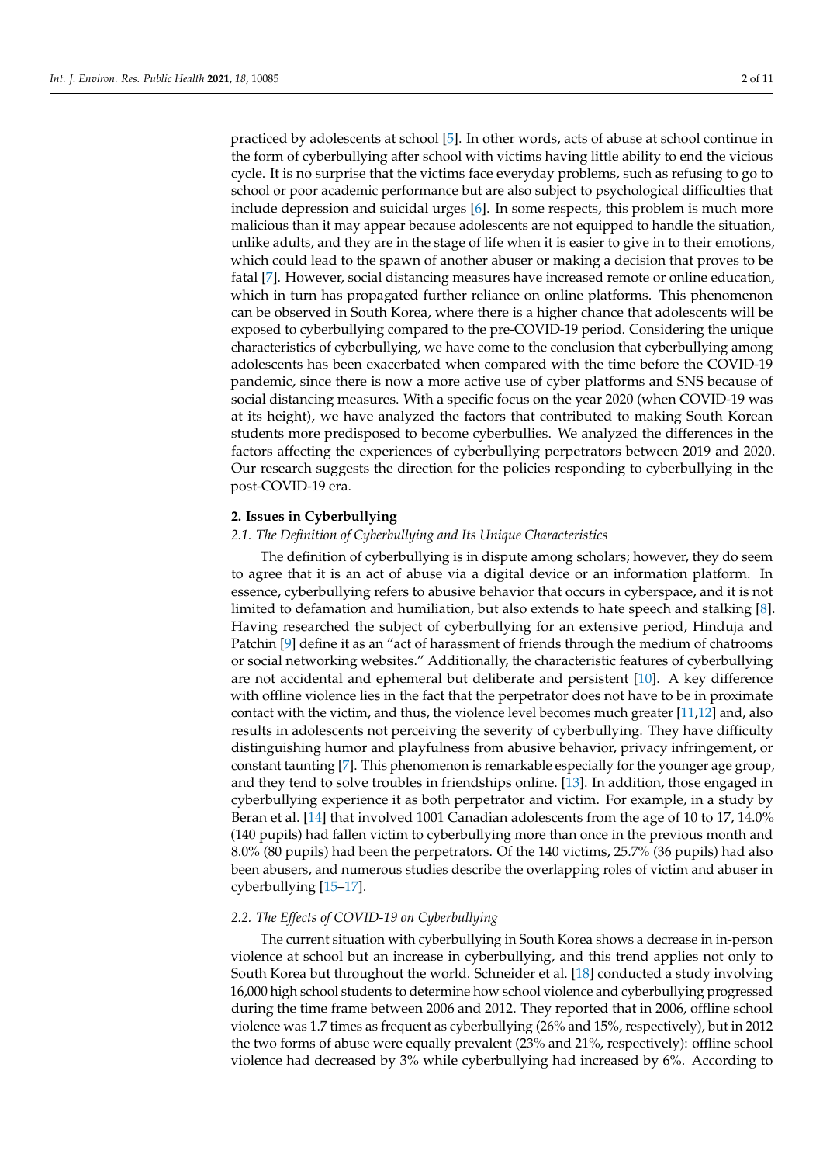practiced by adolescents at school [\[5\]](#page-10-0). In other words, acts of abuse at school continue in the form of cyberbullying after school with victims having little ability to end the vicious cycle. It is no surprise that the victims face everyday problems, such as refusing to go to school or poor academic performance but are also subject to psychological difficulties that include depression and suicidal urges [\[6\]](#page-10-1). In some respects, this problem is much more malicious than it may appear because adolescents are not equipped to handle the situation, unlike adults, and they are in the stage of life when it is easier to give in to their emotions, which could lead to the spawn of another abuser or making a decision that proves to be fatal [\[7\]](#page-10-2). However, social distancing measures have increased remote or online education, which in turn has propagated further reliance on online platforms. This phenomenon can be observed in South Korea, where there is a higher chance that adolescents will be exposed to cyberbullying compared to the pre-COVID-19 period. Considering the unique characteristics of cyberbullying, we have come to the conclusion that cyberbullying among adolescents has been exacerbated when compared with the time before the COVID-19 pandemic, since there is now a more active use of cyber platforms and SNS because of social distancing measures. With a specific focus on the year 2020 (when COVID-19 was at its height), we have analyzed the factors that contributed to making South Korean students more predisposed to become cyberbullies. We analyzed the differences in the factors affecting the experiences of cyberbullying perpetrators between 2019 and 2020. Our research suggests the direction for the policies responding to cyberbullying in the post-COVID-19 era.

#### **2. Issues in Cyberbullying**

### *2.1. The Definition of Cyberbullying and Its Unique Characteristics*

The definition of cyberbullying is in dispute among scholars; however, they do seem to agree that it is an act of abuse via a digital device or an information platform. In essence, cyberbullying refers to abusive behavior that occurs in cyberspace, and it is not limited to defamation and humiliation, but also extends to hate speech and stalking [\[8\]](#page-10-3). Having researched the subject of cyberbullying for an extensive period, Hinduja and Patchin [\[9\]](#page-10-4) define it as an "act of harassment of friends through the medium of chatrooms or social networking websites." Additionally, the characteristic features of cyberbullying are not accidental and ephemeral but deliberate and persistent [\[10\]](#page-10-5). A key difference with offline violence lies in the fact that the perpetrator does not have to be in proximate contact with the victim, and thus, the violence level becomes much greater [\[11,](#page-10-6)[12\]](#page-10-7) and, also results in adolescents not perceiving the severity of cyberbullying. They have difficulty distinguishing humor and playfulness from abusive behavior, privacy infringement, or constant taunting [\[7\]](#page-10-2). This phenomenon is remarkable especially for the younger age group, and they tend to solve troubles in friendships online. [\[13\]](#page-10-8). In addition, those engaged in cyberbullying experience it as both perpetrator and victim. For example, in a study by Beran et al. [\[14\]](#page-10-9) that involved 1001 Canadian adolescents from the age of 10 to 17, 14.0% (140 pupils) had fallen victim to cyberbullying more than once in the previous month and 8.0% (80 pupils) had been the perpetrators. Of the 140 victims, 25.7% (36 pupils) had also been abusers, and numerous studies describe the overlapping roles of victim and abuser in cyberbullying [\[15](#page-10-10)[–17\]](#page-10-11).

### *2.2. The Effects of COVID-19 on Cyberbullying*

The current situation with cyberbullying in South Korea shows a decrease in in-person violence at school but an increase in cyberbullying, and this trend applies not only to South Korea but throughout the world. Schneider et al. [\[18\]](#page-10-12) conducted a study involving 16,000 high school students to determine how school violence and cyberbullying progressed during the time frame between 2006 and 2012. They reported that in 2006, offline school violence was 1.7 times as frequent as cyberbullying (26% and 15%, respectively), but in 2012 the two forms of abuse were equally prevalent (23% and 21%, respectively): offline school violence had decreased by 3% while cyberbullying had increased by 6%. According to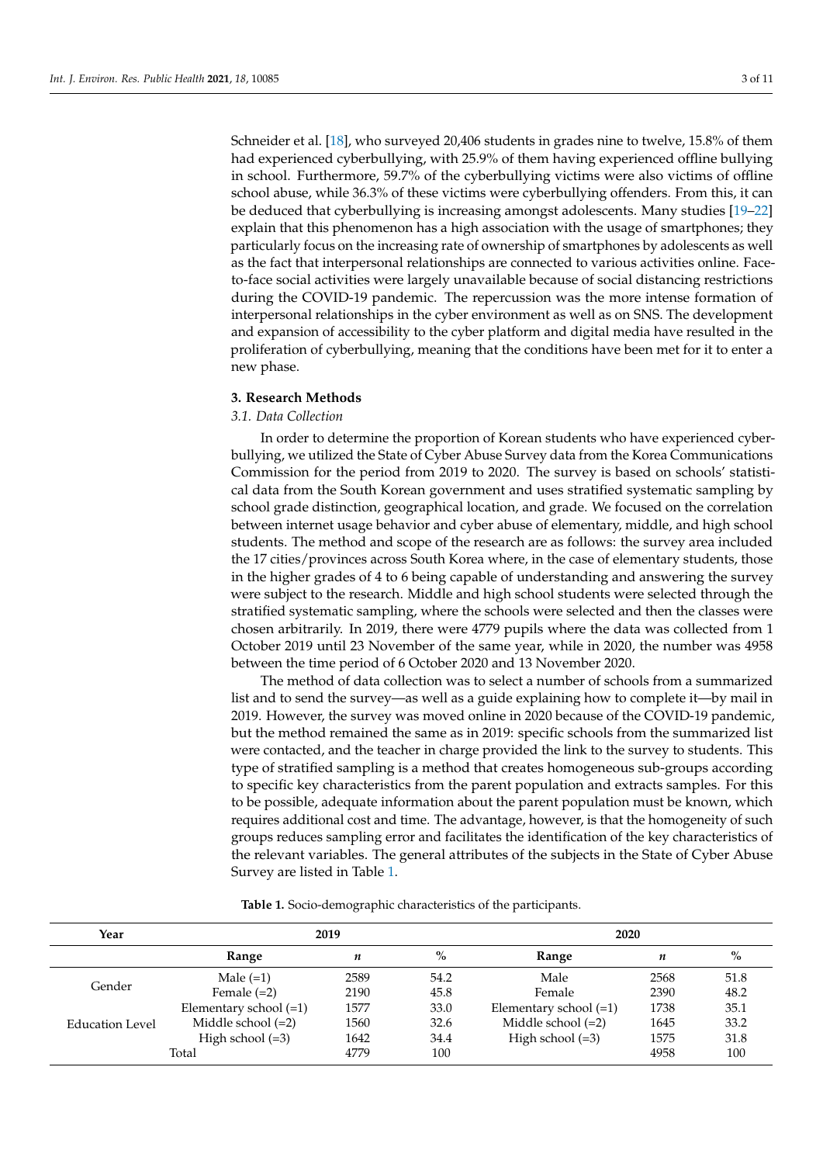Schneider et al. [\[18\]](#page-10-12), who surveyed 20,406 students in grades nine to twelve, 15.8% of them had experienced cyberbullying, with 25.9% of them having experienced offline bullying in school. Furthermore, 59.7% of the cyberbullying victims were also victims of offline school abuse, while 36.3% of these victims were cyberbullying offenders. From this, it can be deduced that cyberbullying is increasing amongst adolescents. Many studies [\[19–](#page-10-13)[22\]](#page-10-14) explain that this phenomenon has a high association with the usage of smartphones; they particularly focus on the increasing rate of ownership of smartphones by adolescents as well as the fact that interpersonal relationships are connected to various activities online. Faceto-face social activities were largely unavailable because of social distancing restrictions during the COVID-19 pandemic. The repercussion was the more intense formation of interpersonal relationships in the cyber environment as well as on SNS. The development and expansion of accessibility to the cyber platform and digital media have resulted in the proliferation of cyberbullying, meaning that the conditions have been met for it to enter a new phase.

#### **3. Research Methods**

# *3.1. Data Collection*

In order to determine the proportion of Korean students who have experienced cyberbullying, we utilized the State of Cyber Abuse Survey data from the Korea Communications Commission for the period from 2019 to 2020. The survey is based on schools' statistical data from the South Korean government and uses stratified systematic sampling by school grade distinction, geographical location, and grade. We focused on the correlation between internet usage behavior and cyber abuse of elementary, middle, and high school students. The method and scope of the research are as follows: the survey area included the 17 cities/provinces across South Korea where, in the case of elementary students, those in the higher grades of 4 to 6 being capable of understanding and answering the survey were subject to the research. Middle and high school students were selected through the stratified systematic sampling, where the schools were selected and then the classes were chosen arbitrarily. In 2019, there were 4779 pupils where the data was collected from 1 October 2019 until 23 November of the same year, while in 2020, the number was 4958 between the time period of 6 October 2020 and 13 November 2020.

The method of data collection was to select a number of schools from a summarized list and to send the survey—as well as a guide explaining how to complete it—by mail in 2019. However, the survey was moved online in 2020 because of the COVID-19 pandemic, but the method remained the same as in 2019: specific schools from the summarized list were contacted, and the teacher in charge provided the link to the survey to students. This type of stratified sampling is a method that creates homogeneous sub-groups according to specific key characteristics from the parent population and extracts samples. For this to be possible, adequate information about the parent population must be known, which requires additional cost and time. The advantage, however, is that the homogeneity of such groups reduces sampling error and facilitates the identification of the key characteristics of the relevant variables. The general attributes of the subjects in the State of Cyber Abuse Survey are listed in Table [1.](#page-2-0)

**Table 1.** Socio-demographic characteristics of the participants.

<span id="page-2-0"></span>

| Year            | 2019                   |      |                                                                                           | 2020                               |      |      |  |  |
|-----------------|------------------------|------|-------------------------------------------------------------------------------------------|------------------------------------|------|------|--|--|
|                 | <b>Range</b>           | n    | $\%$                                                                                      | Range                              | n    | $\%$ |  |  |
|                 | Male $(=1)$            | 2589 | 54.2                                                                                      | Male                               | 2568 | 51.8 |  |  |
| Gender          | Female $(=2)$          | 2190 | 45.8                                                                                      | Female<br>Elementary school $(=1)$ | 2390 | 48.2 |  |  |
|                 | Elementary school (=1) | 1577 | 33.0                                                                                      |                                    | 1738 | 35.1 |  |  |
| Education Level | Middle school $(=2)$   | 1560 | Middle school $(=2)$<br>1645<br>32.6<br>1575<br>High school $(=3)$<br>34.4<br>4958<br>100 |                                    | 33.2 |      |  |  |
|                 | High school $(=3)$     | 1642 |                                                                                           |                                    |      | 31.8 |  |  |
|                 | Total                  | 4779 |                                                                                           |                                    |      | 100  |  |  |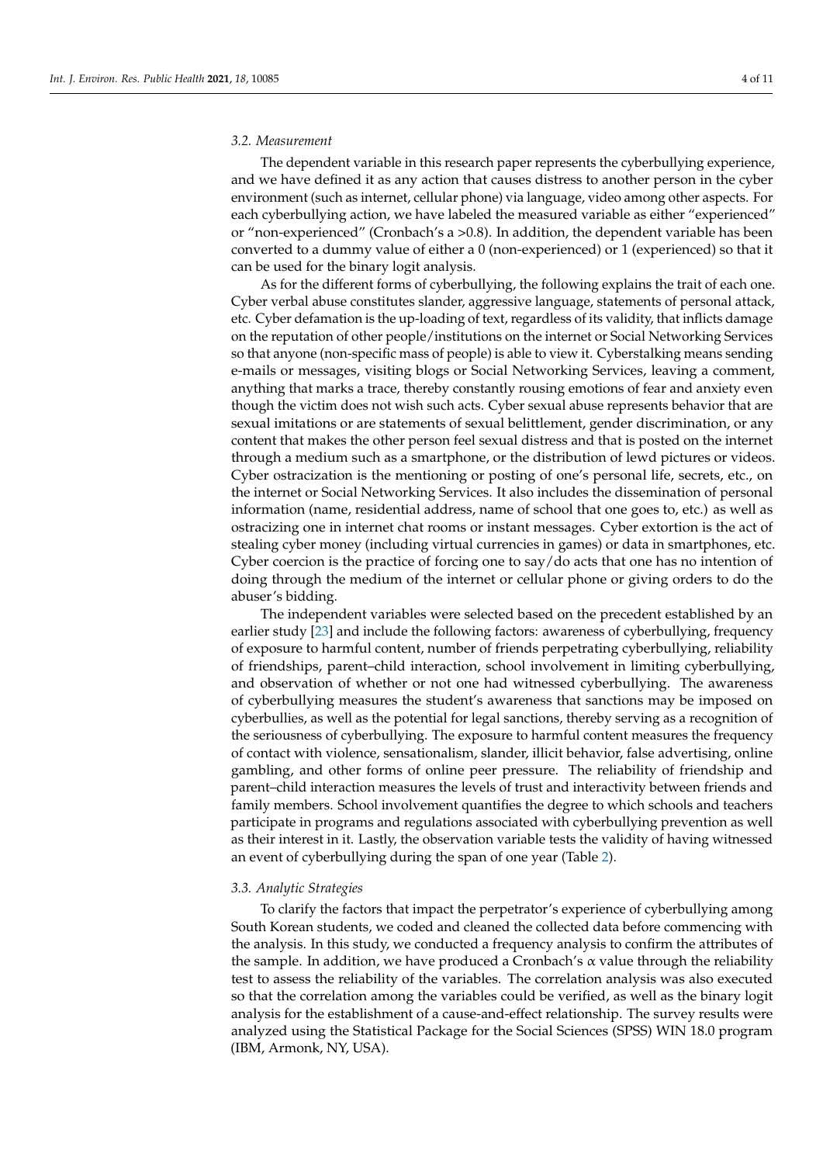## *3.2. Measurement*

The dependent variable in this research paper represents the cyberbullying experience, and we have defined it as any action that causes distress to another person in the cyber environment (such as internet, cellular phone) via language, video among other aspects. For each cyberbullying action, we have labeled the measured variable as either "experienced" or "non-experienced" (Cronbach's a >0.8). In addition, the dependent variable has been converted to a dummy value of either a 0 (non-experienced) or 1 (experienced) so that it can be used for the binary logit analysis.

As for the different forms of cyberbullying, the following explains the trait of each one. Cyber verbal abuse constitutes slander, aggressive language, statements of personal attack, etc. Cyber defamation is the up-loading of text, regardless of its validity, that inflicts damage on the reputation of other people/institutions on the internet or Social Networking Services so that anyone (non-specific mass of people) is able to view it. Cyberstalking means sending e-mails or messages, visiting blogs or Social Networking Services, leaving a comment, anything that marks a trace, thereby constantly rousing emotions of fear and anxiety even though the victim does not wish such acts. Cyber sexual abuse represents behavior that are sexual imitations or are statements of sexual belittlement, gender discrimination, or any content that makes the other person feel sexual distress and that is posted on the internet through a medium such as a smartphone, or the distribution of lewd pictures or videos. Cyber ostracization is the mentioning or posting of one's personal life, secrets, etc., on the internet or Social Networking Services. It also includes the dissemination of personal information (name, residential address, name of school that one goes to, etc.) as well as ostracizing one in internet chat rooms or instant messages. Cyber extortion is the act of stealing cyber money (including virtual currencies in games) or data in smartphones, etc. Cyber coercion is the practice of forcing one to say/do acts that one has no intention of doing through the medium of the internet or cellular phone or giving orders to do the abuser's bidding.

The independent variables were selected based on the precedent established by an earlier study [\[23\]](#page-10-15) and include the following factors: awareness of cyberbullying, frequency of exposure to harmful content, number of friends perpetrating cyberbullying, reliability of friendships, parent–child interaction, school involvement in limiting cyberbullying, and observation of whether or not one had witnessed cyberbullying. The awareness of cyberbullying measures the student's awareness that sanctions may be imposed on cyberbullies, as well as the potential for legal sanctions, thereby serving as a recognition of the seriousness of cyberbullying. The exposure to harmful content measures the frequency of contact with violence, sensationalism, slander, illicit behavior, false advertising, online gambling, and other forms of online peer pressure. The reliability of friendship and parent–child interaction measures the levels of trust and interactivity between friends and family members. School involvement quantifies the degree to which schools and teachers participate in programs and regulations associated with cyberbullying prevention as well as their interest in it. Lastly, the observation variable tests the validity of having witnessed an event of cyberbullying during the span of one year (Table [2\)](#page-4-0).

### *3.3. Analytic Strategies*

To clarify the factors that impact the perpetrator's experience of cyberbullying among South Korean students, we coded and cleaned the collected data before commencing with the analysis. In this study, we conducted a frequency analysis to confirm the attributes of the sample. In addition, we have produced a Cronbach's  $\alpha$  value through the reliability test to assess the reliability of the variables. The correlation analysis was also executed so that the correlation among the variables could be verified, as well as the binary logit analysis for the establishment of a cause-and-effect relationship. The survey results were analyzed using the Statistical Package for the Social Sciences (SPSS) WIN 18.0 program (IBM, Armonk, NY, USA).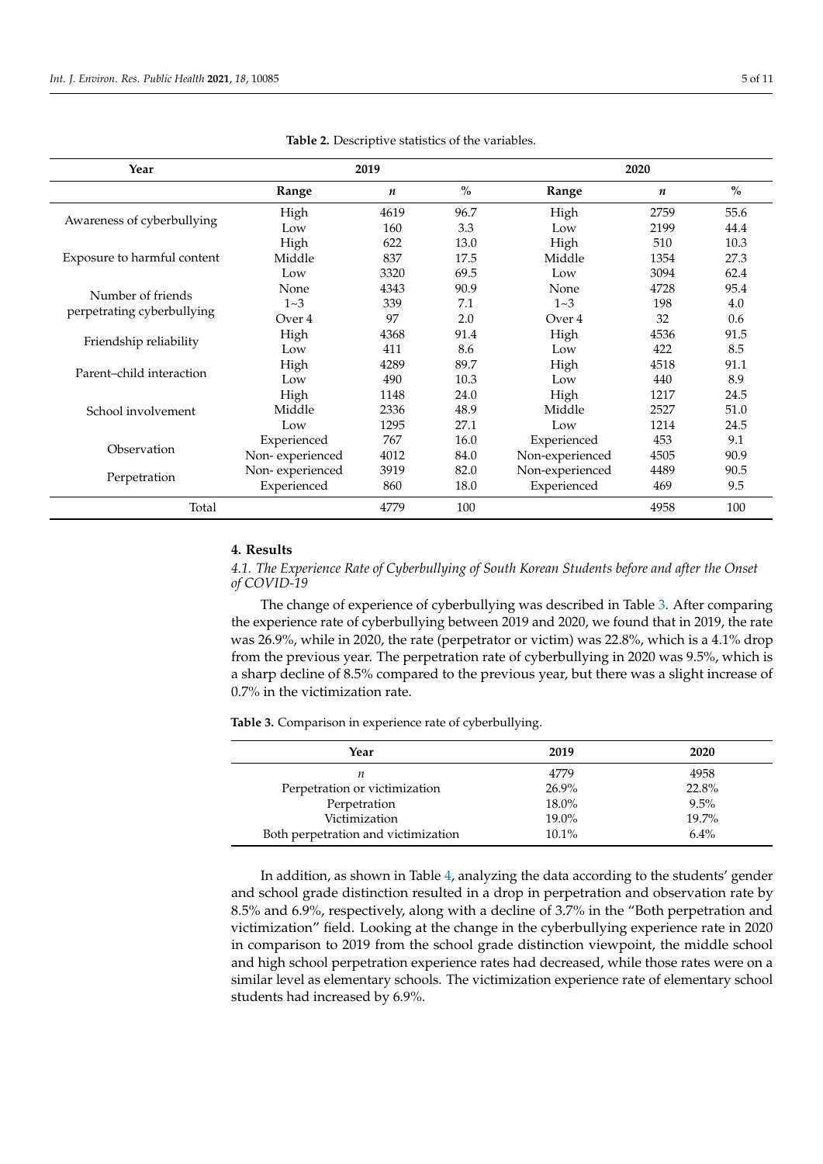<span id="page-4-0"></span>

| Year                        |                 | 2019 |      |                                                                                                                                          | 2020 |               |  |
|-----------------------------|-----------------|------|------|------------------------------------------------------------------------------------------------------------------------------------------|------|---------------|--|
|                             | Range           | n    | $\%$ | Range                                                                                                                                    | n    | $\frac{0}{0}$ |  |
| Awareness of cyberbullying  | High            | 4619 | 96.7 | High                                                                                                                                     | 2759 | 55.6          |  |
|                             | Low             | 160  | 3.3  | Low                                                                                                                                      | 2199 | 44.4          |  |
|                             | High            | 622  | 13.0 | High                                                                                                                                     | 510  | 10.3          |  |
| Exposure to harmful content | Middle          | 837  | 17.5 | Middle                                                                                                                                   | 1354 | 27.3          |  |
|                             | Low             | 3320 | 69.5 | 3094<br>62.4<br>Low<br>None<br>95.4<br>4728<br>$1 - 3$<br>198<br>4.0<br>32<br>0.6<br>Over 4<br>High<br>4536<br>91.5<br>422<br>8.5<br>Low |      |               |  |
| Number of friends           | None            | 4343 | 90.9 |                                                                                                                                          |      |               |  |
|                             | $1 - 3$         | 339  | 7.1  |                                                                                                                                          |      |               |  |
| perpetrating cyberbullying  | Over 4          | 97   | 2.0  |                                                                                                                                          |      |               |  |
|                             | High            | 4368 | 91.4 |                                                                                                                                          |      |               |  |
| Friendship reliability      | Low             | 411  | 8.6  |                                                                                                                                          |      |               |  |
|                             | High            | 4289 | 89.7 | High                                                                                                                                     | 4518 | 91.1          |  |
| Parent-child interaction    | Low             | 490  | 10.3 | Low                                                                                                                                      | 440  | 8.9           |  |
|                             | High            | 1148 | 24.0 | High                                                                                                                                     | 1217 | 24.5          |  |
| School involvement          | Middle          | 2336 | 48.9 | Middle                                                                                                                                   | 2527 | 51.0          |  |
|                             | Low             | 1295 | 27.1 | Low                                                                                                                                      | 1214 | 24.5          |  |
|                             | Experienced     | 767  | 16.0 | Experienced                                                                                                                              | 453  | 9.1           |  |
| Observation                 | Non-experienced | 4012 | 84.0 | Non-experienced                                                                                                                          | 4505 | 90.9          |  |
|                             | Non-experienced | 3919 | 82.0 | Non-experienced                                                                                                                          | 4489 | 90.5          |  |
| Perpetration                | Experienced     | 860  | 18.0 | Experienced                                                                                                                              | 469  | 9.5           |  |
| Total                       |                 | 4779 | 100  |                                                                                                                                          | 4958 | 100           |  |

**Table 2.** Descriptive statistics of the variables.

#### **4. Results**

*4.1. The Experience Rate of Cyberbullying of South Korean Students before and after the Onset of COVID-19*

The change of experience of cyberbullying was described in Table [3.](#page-4-1) After comparing the experience rate of cyberbullying between 2019 and 2020, we found that in 2019, the rate was 26.9%, while in 2020, the rate (perpetrator or victim) was 22.8%, which is a 4.1% drop from the previous year. The perpetration rate of cyberbullying in 2020 was 9.5%, which is a sharp decline of 8.5% compared to the previous year, but there was a slight increase of 0.7% in the victimization rate.

<span id="page-4-1"></span>**Table 3.** Comparison in experience rate of cyberbullying.

| Year                                | 2019  | 2020    |
|-------------------------------------|-------|---------|
| п                                   | 4779  | 4958    |
| Perpetration or victimization       | 26.9% | 22.8%   |
| Perpetration                        | 18.0% | 9.5%    |
| Victimization                       | 19.0% | 19.7%   |
| Both perpetration and victimization | 10.1% | $6.4\%$ |

In addition, as shown in Table [4,](#page-5-0) analyzing the data according to the students' gender and school grade distinction resulted in a drop in perpetration and observation rate by 8.5% and 6.9%, respectively, along with a decline of 3.7% in the "Both perpetration and victimization" field. Looking at the change in the cyberbullying experience rate in 2020 in comparison to 2019 from the school grade distinction viewpoint, the middle school and high school perpetration experience rates had decreased, while those rates were on a similar level as elementary schools. The victimization experience rate of elementary school students had increased by 6.9%.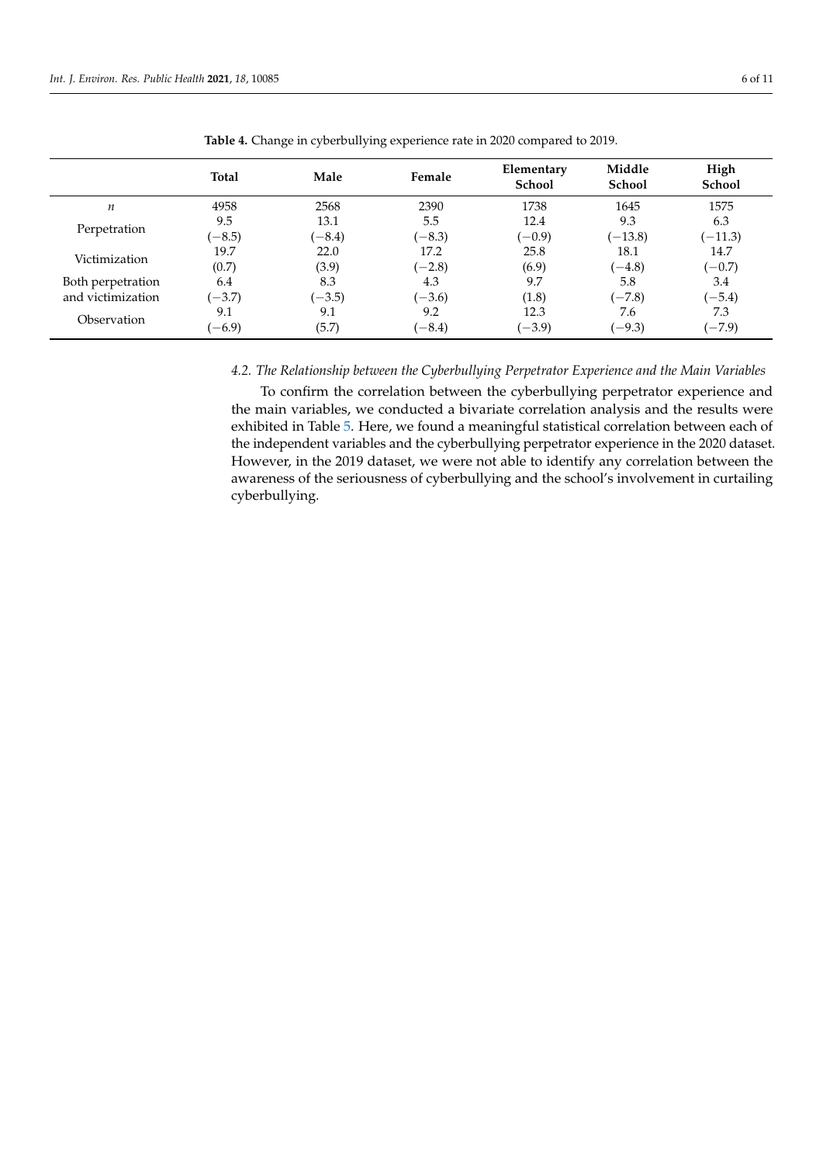<span id="page-5-0"></span>

|                   | <b>Total</b> | Male     | Female   | Elementary<br><b>School</b> | Middle<br><b>School</b> | High<br>School |
|-------------------|--------------|----------|----------|-----------------------------|-------------------------|----------------|
| п                 | 4958         | 2568     | 2390     | 1738                        | 1645                    | 1575           |
|                   | 9.5          | 13.1     | 5.5      | 12.4                        | 9.3                     | 6.3            |
| Perpetration      | $(-8.5)$     | $(-8.4)$ | $(-8.3)$ | $(-0.9)$                    | $(-13.8)$               | $(-11.3)$      |
|                   | 19.7         | 22.0     | 17.2     | 25.8                        | 18.1                    | 14.7           |
| Victimization     | (0.7)        | (3.9)    | $(-2.8)$ | (6.9)                       | $(-4.8)$                | $(-0.7)$       |
| Both perpetration | 6.4          | 8.3      | 4.3      | 9.7                         | 5.8                     | 3.4            |
| and victimization | $(-3.7)$     | $(-3.5)$ | $(-3.6)$ | (1.8)                       | $(-7.8)$                | $(-5.4)$       |
|                   | 9.1          | 9.1      | 9.2      | 12.3                        | 7.6                     | 7.3            |
| Observation       | $(-6.9)$     | (5.7)    | $(-8.4)$ | $(-3.9)$                    | $(-9.3)$                | $(-7.9)$       |

**Table 4.** Change in cyberbullying experience rate in 2020 compared to 2019.

## *4.2. The Relationship between the Cyberbullying Perpetrator Experience and the Main Variables*

To confirm the correlation between the cyberbullying perpetrator experience and the main variables, we conducted a bivariate correlation analysis and the results were exhibited in Table [5.](#page-6-0) Here, we found a meaningful statistical correlation between each of the independent variables and the cyberbullying perpetrator experience in the 2020 dataset. However, in the 2019 dataset, we were not able to identify any correlation between the awareness of the seriousness of cyberbullying and the school's involvement in curtailing cyberbullying.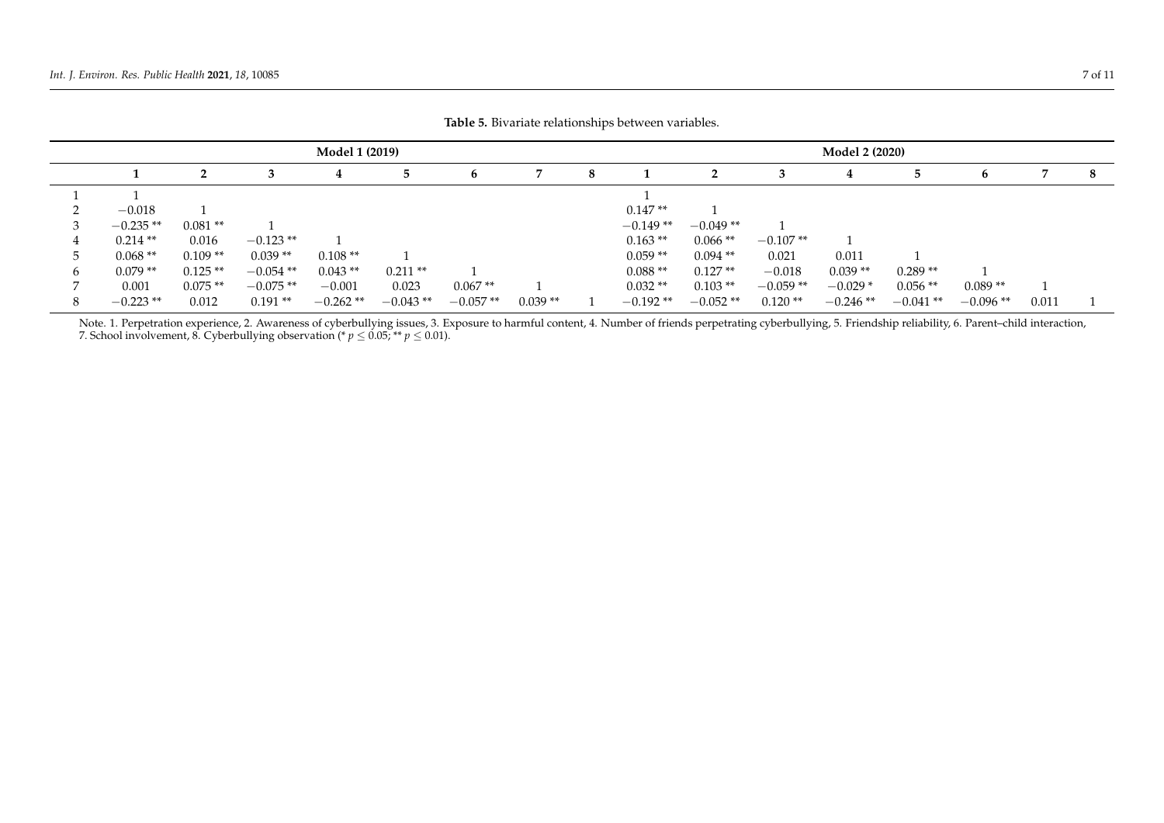| <b>Model 1 (2019)</b> |           |             |            |            |            |           |   | <b>Model 2 (2020)</b> |            |            |            |            |            |       |   |
|-----------------------|-----------|-------------|------------|------------|------------|-----------|---|-----------------------|------------|------------|------------|------------|------------|-------|---|
|                       | ּ         |             | 4          |            | b          |           | 8 |                       |            |            | ч          |            | b          |       | 8 |
|                       |           |             |            |            |            |           |   |                       |            |            |            |            |            |       |   |
| $-0.018$              |           |             |            |            |            |           |   | $0.147**$             |            |            |            |            |            |       |   |
| $-0.235**$            | $0.081**$ |             |            |            |            |           |   | $-0.149**$            | $-0.049**$ |            |            |            |            |       |   |
| $0.214**$             | 0.016     | $-0.123$ ** |            |            |            |           |   | $0.163**$             | $0.066**$  | $-0.107**$ |            |            |            |       |   |
| $0.068**$             | $0.109**$ | $0.039**$   | $0.108**$  |            |            |           |   | $0.059**$             | $0.094**$  | 0.021      | 0.011      |            |            |       |   |
| $0.079**$             | $0.125**$ | $-0.054$ ** | $0.043**$  | $0.211**$  |            |           |   | $0.088**$             | $0.127**$  | $-0.018$   | $0.039**$  | $0.289**$  |            |       |   |
| 0.001                 | $0.075**$ | $-0.075**$  | $-0.001$   | 0.023      | $0.067**$  |           |   | $0.032**$             | $0.103**$  | $-0.059**$ | $-0.029*$  | $0.056$ ** | $0.089**$  |       |   |
| $-0.223**$            | 0.012     | $0.191**$   | $-0.262**$ | $-0.043**$ | $-0.057**$ | $0.039**$ |   | $-0.192**$            | $-0.052**$ | $0.120**$  | $-0.246**$ | $-0.041**$ | $-0.096**$ | 0.011 |   |

**Table 5.** Bivariate relationships between variables.

<span id="page-6-0"></span>Note. 1. Perpetration experience, 2. Awareness of cyberbullying issues, 3. Exposure to harmful content, 4. Number of friends perpetrating cyberbullying, 5. Friendship reliability, 6. Parent-child interaction, 7. School involvement, 8. Cyberbullying observation (\*  $p \le 0.05$ ; \*\*  $p \le 0.01$ ).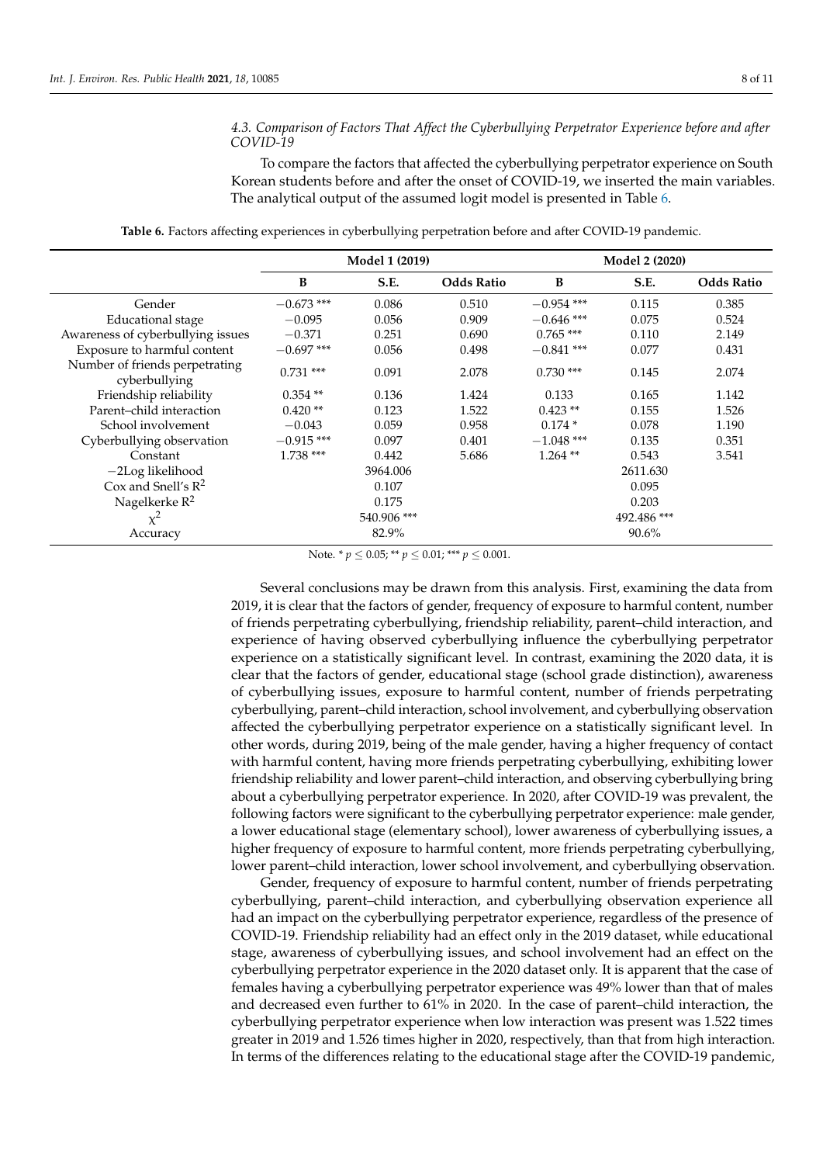## *4.3. Comparison of Factors That Affect the Cyberbullying Perpetrator Experience before and after COVID-19*

To compare the factors that affected the cyberbullying perpetrator experience on South Korean students before and after the onset of COVID-19, we inserted the main variables. The analytical output of the assumed logit model is presented in Table [6.](#page-7-0)

<span id="page-7-0"></span>

|                                                 |              | <b>Model 1 (2019)</b> |                   |              | <b>Model 2 (2020)</b> |                   |  |
|-------------------------------------------------|--------------|-----------------------|-------------------|--------------|-----------------------|-------------------|--|
|                                                 | B            | S.E.                  | <b>Odds Ratio</b> | B            | S.E.                  | <b>Odds Ratio</b> |  |
| Gender                                          | $-0.673$ *** | 0.086                 | 0.510             | $-0.954$ *** | 0.115                 | 0.385             |  |
| <b>Educational</b> stage                        | $-0.095$     | 0.056                 | 0.909             | $-0.646$ *** | 0.075                 | 0.524             |  |
| Awareness of cyberbullying issues               | $-0.371$     | 0.251                 | 0.690             | $0.765$ ***  | 0.110                 | 2.149             |  |
| Exposure to harmful content                     | $-0.697$ *** | 0.056                 | 0.498             | $-0.841$ *** | 0.077                 | 0.431             |  |
| Number of friends perpetrating<br>cyberbullying | $0.731$ ***  | 0.091                 | 2.078             | $0.730$ ***  | 0.145                 | 2.074             |  |
| Friendship reliability                          | $0.354**$    | 0.136                 | 1.424             | 0.133        | 0.165                 | 1.142             |  |
| Parent-child interaction                        | $0.420**$    | 0.123                 | 1.522             | $0.423$ **   | 0.155                 | 1.526             |  |
| School involvement                              | $-0.043$     | 0.059                 | 0.958             | $0.174*$     | 0.078                 | 1.190             |  |
| Cyberbullying observation                       | $-0.915$ *** | 0.097                 | 0.401             | $-1.048$ *** | 0.135                 | 0.351             |  |
| Constant                                        | $1.738***$   | 0.442                 | 5.686             | $1.264$ **   | 0.543                 | 3.541             |  |
| $-2$ Log likelihood                             |              | 3964.006              |                   |              | 2611.630              |                   |  |
| Cox and Snell's $R^2$                           |              | 0.107                 |                   |              | 0.095                 |                   |  |
| Nagelkerke $R^2$                                | 0.175        |                       |                   | 0.203        |                       |                   |  |
| $\chi^2$                                        |              | 540.906 ***           |                   |              | 492.486 ***           |                   |  |
| Accuracy                                        |              | 82.9%                 |                   |              | $90.6\%$              |                   |  |

**Table 6.** Factors affecting experiences in cyberbullying perpetration before and after COVID-19 pandemic.

Note. \* *p* ≤ 0.05; \*\* *p* ≤ 0.01; \*\*\* *p* ≤ 0.001.

Several conclusions may be drawn from this analysis. First, examining the data from 2019, it is clear that the factors of gender, frequency of exposure to harmful content, number of friends perpetrating cyberbullying, friendship reliability, parent–child interaction, and experience of having observed cyberbullying influence the cyberbullying perpetrator experience on a statistically significant level. In contrast, examining the 2020 data, it is clear that the factors of gender, educational stage (school grade distinction), awareness of cyberbullying issues, exposure to harmful content, number of friends perpetrating cyberbullying, parent–child interaction, school involvement, and cyberbullying observation affected the cyberbullying perpetrator experience on a statistically significant level. In other words, during 2019, being of the male gender, having a higher frequency of contact with harmful content, having more friends perpetrating cyberbullying, exhibiting lower friendship reliability and lower parent–child interaction, and observing cyberbullying bring about a cyberbullying perpetrator experience. In 2020, after COVID-19 was prevalent, the following factors were significant to the cyberbullying perpetrator experience: male gender, a lower educational stage (elementary school), lower awareness of cyberbullying issues, a higher frequency of exposure to harmful content, more friends perpetrating cyberbullying, lower parent–child interaction, lower school involvement, and cyberbullying observation.

Gender, frequency of exposure to harmful content, number of friends perpetrating cyberbullying, parent–child interaction, and cyberbullying observation experience all had an impact on the cyberbullying perpetrator experience, regardless of the presence of COVID-19. Friendship reliability had an effect only in the 2019 dataset, while educational stage, awareness of cyberbullying issues, and school involvement had an effect on the cyberbullying perpetrator experience in the 2020 dataset only. It is apparent that the case of females having a cyberbullying perpetrator experience was 49% lower than that of males and decreased even further to 61% in 2020. In the case of parent–child interaction, the cyberbullying perpetrator experience when low interaction was present was 1.522 times greater in 2019 and 1.526 times higher in 2020, respectively, than that from high interaction. In terms of the differences relating to the educational stage after the COVID-19 pandemic,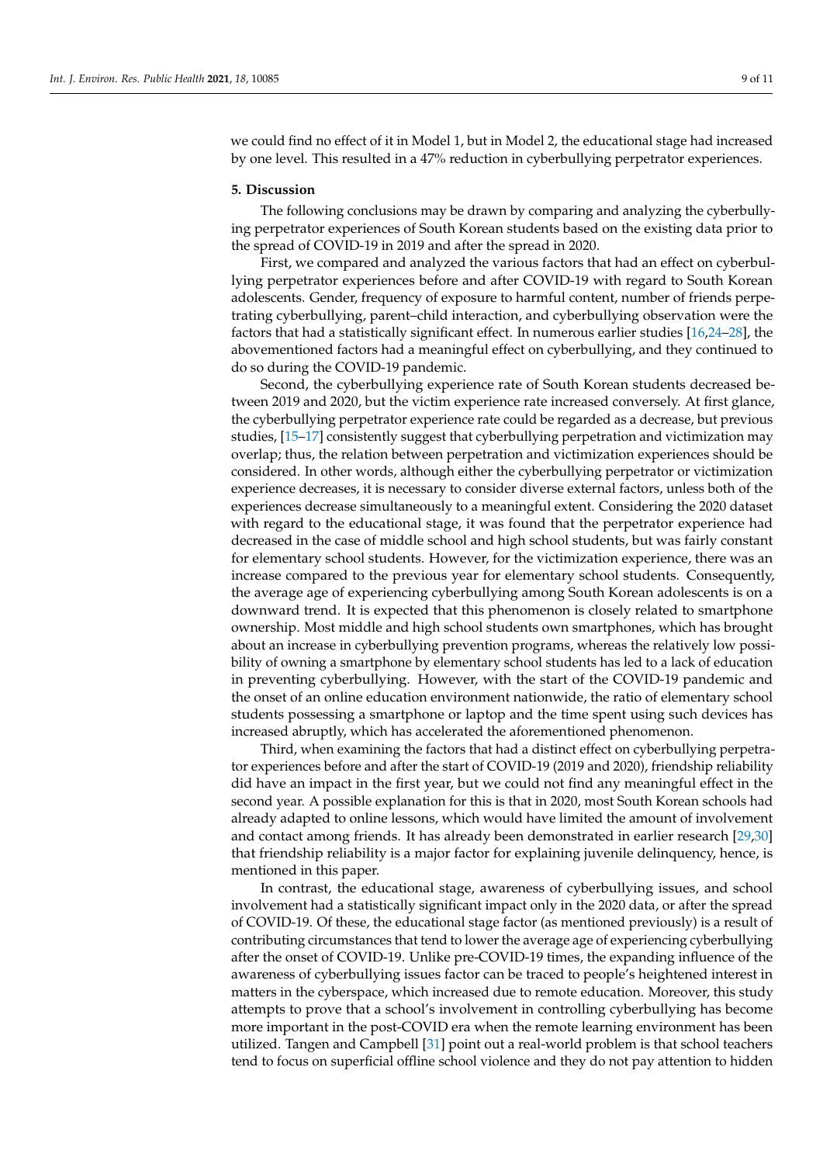we could find no effect of it in Model 1, but in Model 2, the educational stage had increased by one level. This resulted in a 47% reduction in cyberbullying perpetrator experiences.

#### **5. Discussion**

The following conclusions may be drawn by comparing and analyzing the cyberbullying perpetrator experiences of South Korean students based on the existing data prior to the spread of COVID-19 in 2019 and after the spread in 2020.

First, we compared and analyzed the various factors that had an effect on cyberbullying perpetrator experiences before and after COVID-19 with regard to South Korean adolescents. Gender, frequency of exposure to harmful content, number of friends perpetrating cyberbullying, parent–child interaction, and cyberbullying observation were the factors that had a statistically significant effect. In numerous earlier studies [\[16](#page-10-16)[,24](#page-10-17)[–28\]](#page-10-18), the abovementioned factors had a meaningful effect on cyberbullying, and they continued to do so during the COVID-19 pandemic.

Second, the cyberbullying experience rate of South Korean students decreased between 2019 and 2020, but the victim experience rate increased conversely. At first glance, the cyberbullying perpetrator experience rate could be regarded as a decrease, but previous studies, [\[15–](#page-10-10)[17\]](#page-10-11) consistently suggest that cyberbullying perpetration and victimization may overlap; thus, the relation between perpetration and victimization experiences should be considered. In other words, although either the cyberbullying perpetrator or victimization experience decreases, it is necessary to consider diverse external factors, unless both of the experiences decrease simultaneously to a meaningful extent. Considering the 2020 dataset with regard to the educational stage, it was found that the perpetrator experience had decreased in the case of middle school and high school students, but was fairly constant for elementary school students. However, for the victimization experience, there was an increase compared to the previous year for elementary school students. Consequently, the average age of experiencing cyberbullying among South Korean adolescents is on a downward trend. It is expected that this phenomenon is closely related to smartphone ownership. Most middle and high school students own smartphones, which has brought about an increase in cyberbullying prevention programs, whereas the relatively low possibility of owning a smartphone by elementary school students has led to a lack of education in preventing cyberbullying. However, with the start of the COVID-19 pandemic and the onset of an online education environment nationwide, the ratio of elementary school students possessing a smartphone or laptop and the time spent using such devices has increased abruptly, which has accelerated the aforementioned phenomenon.

Third, when examining the factors that had a distinct effect on cyberbullying perpetrator experiences before and after the start of COVID-19 (2019 and 2020), friendship reliability did have an impact in the first year, but we could not find any meaningful effect in the second year. A possible explanation for this is that in 2020, most South Korean schools had already adapted to online lessons, which would have limited the amount of involvement and contact among friends. It has already been demonstrated in earlier research [\[29](#page-10-19)[,30\]](#page-10-20) that friendship reliability is a major factor for explaining juvenile delinquency, hence, is mentioned in this paper.

In contrast, the educational stage, awareness of cyberbullying issues, and school involvement had a statistically significant impact only in the 2020 data, or after the spread of COVID-19. Of these, the educational stage factor (as mentioned previously) is a result of contributing circumstances that tend to lower the average age of experiencing cyberbullying after the onset of COVID-19. Unlike pre-COVID-19 times, the expanding influence of the awareness of cyberbullying issues factor can be traced to people's heightened interest in matters in the cyberspace, which increased due to remote education. Moreover, this study attempts to prove that a school's involvement in controlling cyberbullying has become more important in the post-COVID era when the remote learning environment has been utilized. Tangen and Campbell [\[31\]](#page-10-21) point out a real-world problem is that school teachers tend to focus on superficial offline school violence and they do not pay attention to hidden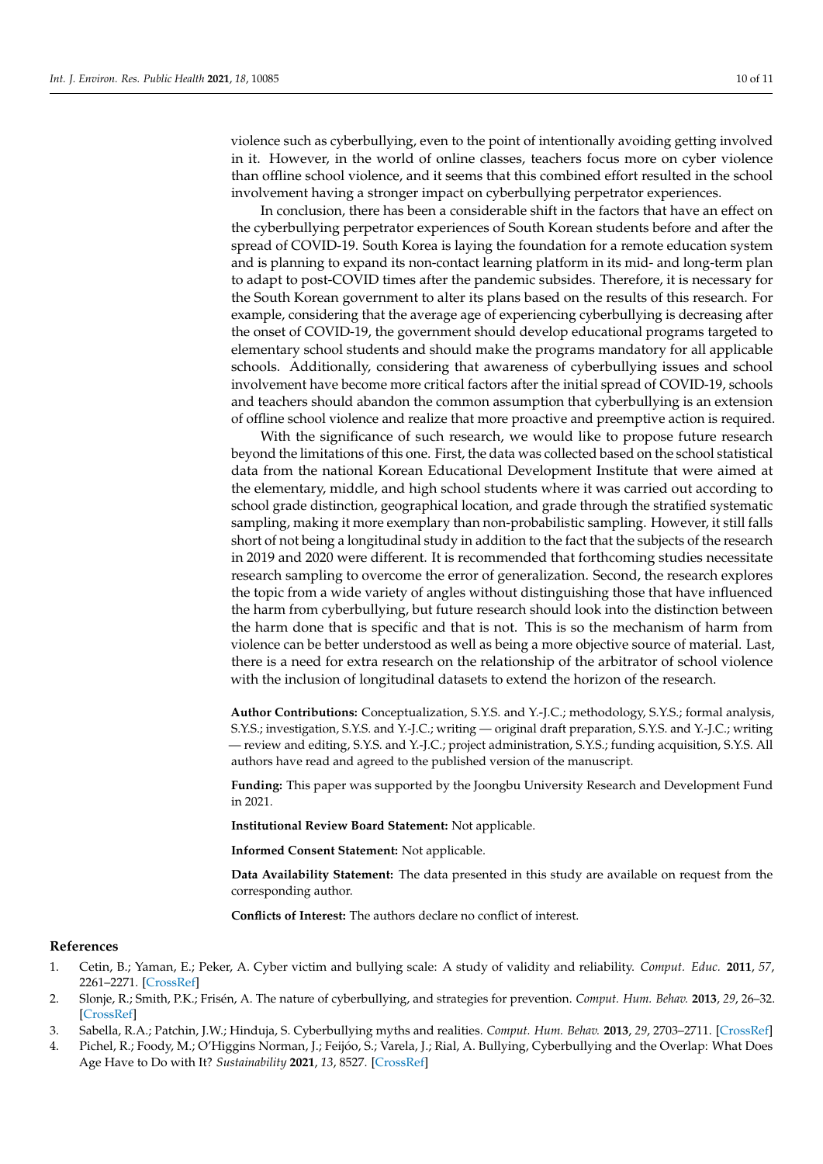violence such as cyberbullying, even to the point of intentionally avoiding getting involved in it. However, in the world of online classes, teachers focus more on cyber violence than offline school violence, and it seems that this combined effort resulted in the school involvement having a stronger impact on cyberbullying perpetrator experiences.

In conclusion, there has been a considerable shift in the factors that have an effect on the cyberbullying perpetrator experiences of South Korean students before and after the spread of COVID-19. South Korea is laying the foundation for a remote education system and is planning to expand its non-contact learning platform in its mid- and long-term plan to adapt to post-COVID times after the pandemic subsides. Therefore, it is necessary for the South Korean government to alter its plans based on the results of this research. For example, considering that the average age of experiencing cyberbullying is decreasing after the onset of COVID-19, the government should develop educational programs targeted to elementary school students and should make the programs mandatory for all applicable schools. Additionally, considering that awareness of cyberbullying issues and school involvement have become more critical factors after the initial spread of COVID-19, schools and teachers should abandon the common assumption that cyberbullying is an extension of offline school violence and realize that more proactive and preemptive action is required.

With the significance of such research, we would like to propose future research beyond the limitations of this one. First, the data was collected based on the school statistical data from the national Korean Educational Development Institute that were aimed at the elementary, middle, and high school students where it was carried out according to school grade distinction, geographical location, and grade through the stratified systematic sampling, making it more exemplary than non-probabilistic sampling. However, it still falls short of not being a longitudinal study in addition to the fact that the subjects of the research in 2019 and 2020 were different. It is recommended that forthcoming studies necessitate research sampling to overcome the error of generalization. Second, the research explores the topic from a wide variety of angles without distinguishing those that have influenced the harm from cyberbullying, but future research should look into the distinction between the harm done that is specific and that is not. This is so the mechanism of harm from violence can be better understood as well as being a more objective source of material. Last, there is a need for extra research on the relationship of the arbitrator of school violence with the inclusion of longitudinal datasets to extend the horizon of the research.

**Author Contributions:** Conceptualization, S.Y.S. and Y.-J.C.; methodology, S.Y.S.; formal analysis, S.Y.S.; investigation, S.Y.S. and Y.-J.C.; writing — original draft preparation, S.Y.S. and Y.-J.C.; writing — review and editing, S.Y.S. and Y.-J.C.; project administration, S.Y.S.; funding acquisition, S.Y.S. All authors have read and agreed to the published version of the manuscript.

**Funding:** This paper was supported by the Joongbu University Research and Development Fund in 2021.

**Institutional Review Board Statement:** Not applicable.

**Informed Consent Statement:** Not applicable.

**Data Availability Statement:** The data presented in this study are available on request from the corresponding author.

**Conflicts of Interest:** The authors declare no conflict of interest.

#### **References**

- <span id="page-9-0"></span>1. Cetin, B.; Yaman, E.; Peker, A. Cyber victim and bullying scale: A study of validity and reliability. *Comput. Educ.* **2011**, *57*, 2261–2271. [\[CrossRef\]](http://doi.org/10.1016/j.compedu.2011.06.014)
- 2. Slonje, R.; Smith, P.K.; Frisén, A. The nature of cyberbullying, and strategies for prevention. *Comput. Hum. Behav.* **2013**, *29*, 26–32. [\[CrossRef\]](http://doi.org/10.1016/j.chb.2012.05.024)
- 3. Sabella, R.A.; Patchin, J.W.; Hinduja, S. Cyberbullying myths and realities. *Comput. Hum. Behav.* **2013**, *29*, 2703–2711. [\[CrossRef\]](http://doi.org/10.1016/j.chb.2013.06.040)
- <span id="page-9-1"></span>4. Pichel, R.; Foody, M.; O'Higgins Norman, J.; Feijóo, S.; Varela, J.; Rial, A. Bullying, Cyberbullying and the Overlap: What Does Age Have to Do with It? *Sustainability* **2021**, *13*, 8527. [\[CrossRef\]](http://doi.org/10.3390/su13158527)